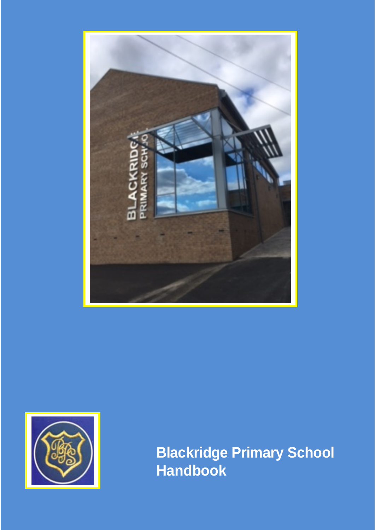



**Blackridge Primary School Handbook**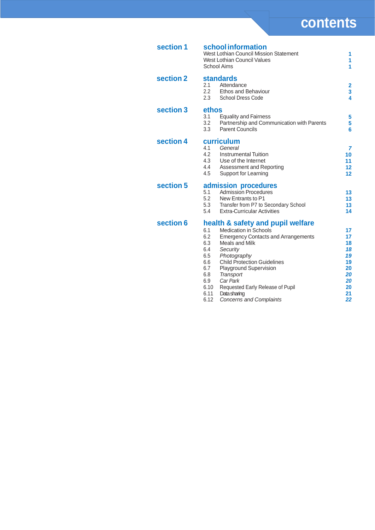| section 1 | school information<br>West Lothian Council Mission Statement<br>West Lothian Council Values<br>School Aims                                                                                                                                                                                                                                                                                                                         | 1<br>1<br>1                                                          |
|-----------|------------------------------------------------------------------------------------------------------------------------------------------------------------------------------------------------------------------------------------------------------------------------------------------------------------------------------------------------------------------------------------------------------------------------------------|----------------------------------------------------------------------|
| section 2 | <b>standards</b><br>2.1<br>Attendance<br>2.2<br><b>Ethos and Behaviour</b><br>2.3<br><b>School Dress Code</b>                                                                                                                                                                                                                                                                                                                      | $\overline{2}$<br>3<br>4                                             |
| section 3 | ethos<br>3.1<br><b>Equality and Fairness</b><br>3.2<br>Partnership and Communication with Parents<br>3.3<br><b>Parent Councils</b>                                                                                                                                                                                                                                                                                                 | 5<br>5<br>6                                                          |
| section 4 | curriculum<br>4.1<br>General<br>4.2<br><b>Instrumental Tuition</b><br>4.3<br>Use of the Internet<br>4.4<br>Assessment and Reporting<br>4.5<br>Support for Learning                                                                                                                                                                                                                                                                 | 7<br>10<br>11<br>12<br>12                                            |
| section 5 | admission procedures<br><b>Admission Procedures</b><br>5.1<br>5.2<br>New Entrants to P1<br>5.3<br>Transfer from P7 to Secondary School<br>5.4<br><b>Extra-Curricular Activities</b>                                                                                                                                                                                                                                                | 13<br>13<br>13<br>14                                                 |
| section 6 | health & safety and pupil welfare<br><b>Medication in Schools</b><br>6.1<br>6.2<br><b>Emergency Contacts and Arrangements</b><br>6.3<br>Meals and Milk<br>6.4<br>Security<br>6.5<br>Photography<br><b>Child Protection Guidelines</b><br>6.6<br>6.7<br>Playground Supervision<br>6.8<br>Transport<br>6.9<br>Car Park<br>6.10<br>Requested Early Release of Pupil<br>6.11<br>Data sharing<br>6.12<br><b>Concerns and Complaints</b> | 17<br>17<br>18<br>18<br>19<br>19<br>20<br>20<br>20<br>20<br>21<br>22 |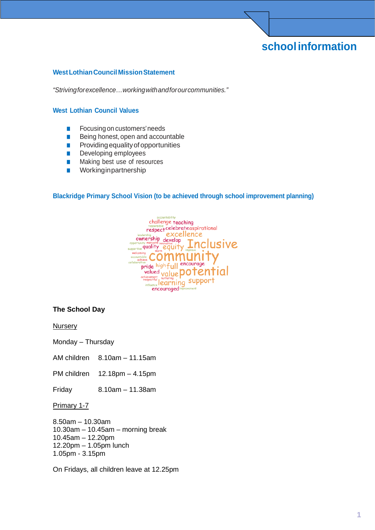# **schoolinformation**

#### <span id="page-2-0"></span>**WestLothianCouncilMissionStatement**

*"Strivingforexcellence…workingwithandforourcommunities."*

#### <span id="page-2-1"></span>**West Lothian Council Values**

- Focusing on customers' needs
- Being honest, open and accountable
- Providing equality of opportunities
- Developing employees
- Making best use of resources
- Workinginpartnership

#### <span id="page-2-2"></span>**Blackridge Primary School Vision (to be achieved through school improvement planning)**



#### **The School Day**

**Nursery** 

Monday – Thursday

AM children 8.10am – 11.15am

PM children 12.18pm – 4.15pm

Friday 8.10am – 11.38am

#### Primary 1-7

8.50am – 10.30am 10.30am – 10.45am – morning break 10.45am – 12.20pm 12.20pm – 1.05pm lunch 1.05pm - 3.15pm

On Fridays, all children leave at 12.25pm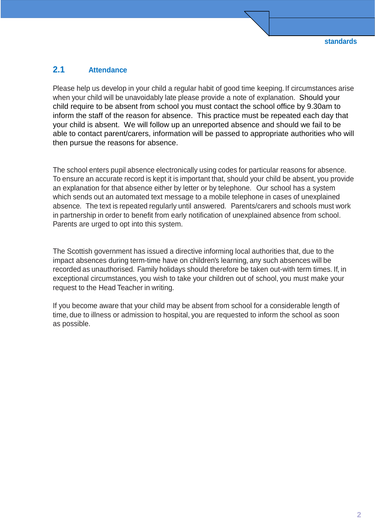### <span id="page-3-0"></span>**2.1 Attendance**

Please help us develop in your child a regular habit of good time keeping. If circumstances arise when your child will be unavoidably late please provide a note of explanation. Should your child require to be absent from school you must contact the school office by 9.30am to inform the staff of the reason for absence. This practice must be repeated each day that your child is absent. We will follow up an unreported absence and should we fail to be able to contact parent/carers, information will be passed to appropriate authorities who will then pursue the reasons for absence.

The school enters pupil absence electronically using codes for particular reasons for absence. To ensure an accurate record is kept it is important that, should your child be absent, you provide an explanation for that absence either by letter or by telephone. Our school has a system which sends out an automated text message to a mobile telephone in cases of unexplained absence. The text is repeated regularly until answered. Parents/carers and schools must work in partnership in order to benefit from early notification of unexplained absence from school. Parents are urged to opt into this system.

The Scottish government has issued a directive informing local authorities that, due to the impact absences during term-time have on children's learning, any such absences will be recorded as unauthorised. Family holidays should therefore be taken out-with term times. If, in exceptional circumstances, you wish to take your children out of school, you must make your request to the Head Teacher in writing.

If you become aware that your child may be absent from school for a considerable length of time, due to illness or admission to hospital, you are requested to inform the school as soon as possible.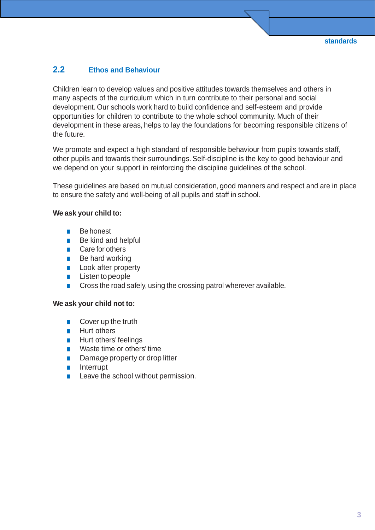## <span id="page-4-0"></span>**2.2 Ethos and Behaviour**

Children learn to develop values and positive attitudes towards themselves and others in many aspects of the curriculum which in turn contribute to their personal and social development. Our schools work hard to build confidence and self-esteem and provide opportunities for children to contribute to the whole school community. Much of their development in these areas, helps to lay the foundations for becoming responsible citizens of the future.

We promote and expect a high standard of responsible behaviour from pupils towards staff, other pupils and towards their surroundings. Self-discipline is the key to good behaviour and we depend on your support in reinforcing the discipline guidelines of the school.

These guidelines are based on mutual consideration, good manners and respect and are in place to ensure the safety and well-being of all pupils and staff in school.

#### **We ask your child to:**

- Be honest
- Be kind and helpful
- Care for others
- Be hard working
- Look after property
- Listentopeople
- Cross the road safely, using the crossing patrol wherever available.

#### **We ask your child not to:**

- Cover up the truth
- Hurt others
- Hurt others' feelings
- Waste time or others' time
- Damage property or drop litter
- Interrupt
- Leave the school without permission.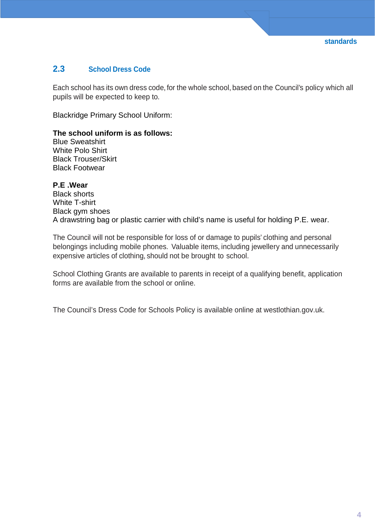## <span id="page-5-0"></span>**2.3 School Dress Code**

Each school has its own dress code, for the whole school, based on the Council's policy which all pupils will be expected to keep to.

Blackridge Primary School Uniform:

#### **The school uniform is as follows:**

Blue Sweatshirt White Polo Shirt Black Trouser/Skirt Black Footwear

**P.E .Wear** Black shorts White T-shirt Black gym shoes A drawstring bag or plastic carrier with child's name is useful for holding P.E. wear.

The Council will not be responsible for loss of or damage to pupils' clothing and personal belongings including mobile phones. Valuable items, including jewellery and unnecessarily expensive articles of clothing, should not be brought to school.

School Clothing Grants are available to parents in receipt of a qualifying benefit, application forms are available from the school or online.

The Council's Dress Code for Schools Policy is available online at westlothian.gov.uk.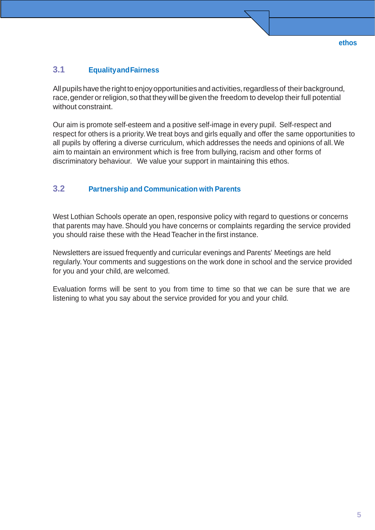### <span id="page-6-0"></span>**3.1 EqualityandFairness**

All pupils have the right to enjoy opportunities and activities, regardless of their background, race, gender or religion, so that they will be given the freedom to develop their full potential without constraint.

Our aim is promote self-esteem and a positive self-image in every pupil. Self-respect and respect for others is a priority.We treat boys and girls equally and offer the same opportunities to all pupils by offering a diverse curriculum, which addresses the needs and opinions of all.We aim to maintain an environment which is free from bullying, racism and other forms of discriminatory behaviour. We value your support in maintaining this ethos.

### <span id="page-6-1"></span>**3.2 Partnership and Communication with Parents**

West Lothian Schools operate an open, responsive policy with regard to questions or concerns that parents may have. Should you have concerns or complaints regarding the service provided you should raise these with the Head Teacher in the first instance.

Newsletters are issued frequently and curricular evenings and Parents' Meetings are held regularly.Your comments and suggestions on the work done in school and the service provided for you and your child, are welcomed.

Evaluation forms will be sent to you from time to time so that we can be sure that we are listening to what you say about the service provided for you and your child.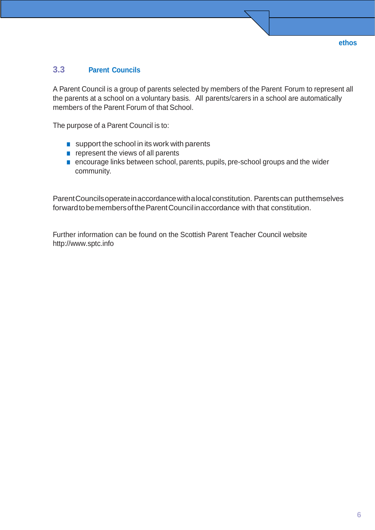### <span id="page-7-0"></span>**3.3 Parent Councils**

A Parent Council is a group of parents selected by members of the Parent Forum to represent all the parents at a school on a voluntary basis. All parents/carers in a school are automatically members of the Parent Forum of that School.

The purpose of a Parent Council is to:

- support the school in its work with parents
- represent the views of all parents
- encourage links between school, parents, pupils, pre-school groups and the wider community.

ParentCouncilsoperateinaccordancewithalocalconstitution. Parentscan putthemselves forward to be members of the Parent Council in accordance with that constitution.

Further information can be found on the Scottish Parent Teacher Council website http://www.sptc.info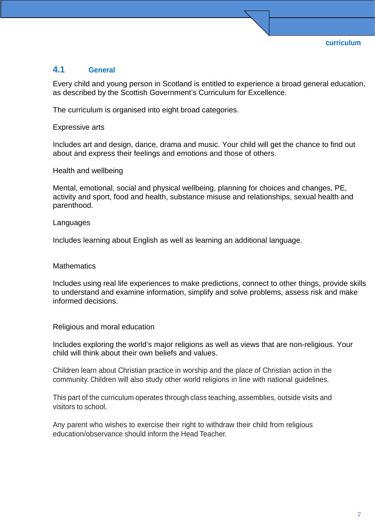### <span id="page-8-0"></span>**4.1 General**

Every child and young person in Scotland is entitled to experience a broad general education, as described by the Scottish Government's Curriculum for Excellence.

The curriculum is organised into eight broad categories.

Expressive arts

Includes art and design, dance, drama and music. Your child will get the chance to find out about and express their feelings and emotions and those of others.

Health and wellbeing

Mental, emotional, social and physical wellbeing, planning for choices and changes, PE, activity and sport, food and health, substance misuse and relationships, sexual health and parenthood.

#### Languages

Includes learning about English as well as learning an additional language.

#### **Mathematics**

Includes using real life experiences to make predictions, connect to other things, provide skills to understand and examine information, simplify and solve problems, assess risk and make informed decisions.

Religious and moral education

Includes exploring the world's major religions as well as views that are non-religious. Your child will think about their own beliefs and values.

Children learn about Christian practice in worship and the place of Christian action in the community. Children will also study other world religions in line with national guidelines.

This part of the curriculum operates through class teaching, assemblies, outside visits and visitors to school.

Any parent who wishes to exercise their right to withdraw their child from religious education/observance should inform the Head Teacher.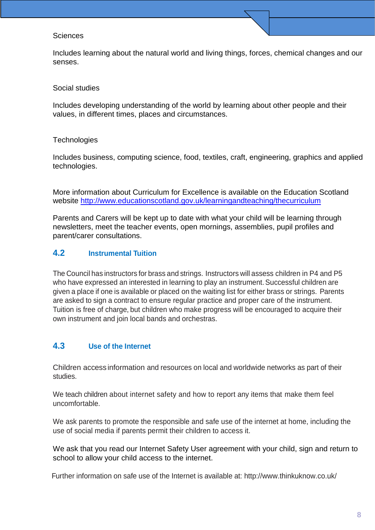#### **Sciences**

Includes learning about the natural world and living things, forces, chemical changes and our senses.

#### Social studies

Includes developing understanding of the world by learning about other people and their values, in different times, places and circumstances.

#### **Technologies**

Includes business, computing science, food, textiles, craft, engineering, graphics and applied technologies.

More information about Curriculum for Excellence is available on the Education Scotland website<http://www.educationscotland.gov.uk/learningandteaching/thecurriculum>

Parents and Carers will be kept up to date with what your child will be learning through newsletters, meet the teacher events, open mornings, assemblies, pupil profiles and parent/carer consultations.

### <span id="page-9-0"></span>**4.2 Instrumental Tuition**

The Council has instructors for brass and strings. Instructors will assess children in P4 and P5 who have expressed an interested in learning to play an instrument. Successful children are given a place if one is available or placed on the waiting list for either brass or strings. Parents are asked to sign a contract to ensure regular practice and proper care of the instrument. Tuition is free of charge, but children who make progress will be encouraged to acquire their own instrument and join local bands and orchestras.

### <span id="page-9-1"></span>**4.3 Use of the Internet**

Children access information and resources on local and worldwide networks as part of their studies.

We teach children about internet safety and how to report any items that make them feel uncomfortable.

We ask parents to promote the responsible and safe use of the internet at home, including the use of social media if parents permit their children to access it.

We ask that you read our Internet Safety User agreement with your child, sign and return to school to allow your child access to the internet.

Further information on safe use of the Internet is available at: http://www.thinkuknow.co.uk/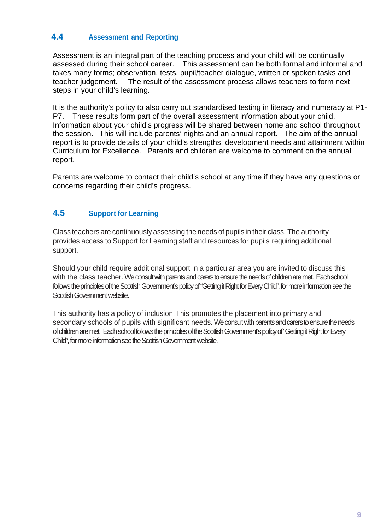## <span id="page-10-0"></span>**4.4 Assessment and Reporting**

Assessment is an integral part of the teaching process and your child will be continually assessed during their school career. This assessment can be both formal and informal and takes many forms; observation, tests, pupil/teacher dialogue, written or spoken tasks and teacher judgement. The result of the assessment process allows teachers to form next steps in your child's learning.

It is the authority's policy to also carry out standardised testing in literacy and numeracy at P1- P7. These results form part of the overall assessment information about your child. Information about your child's progress will be shared between home and school throughout the session. This will include parents' nights and an annual report. The aim of the annual report is to provide details of your child's strengths, development needs and attainment within Curriculum for Excellence. Parents and children are welcome to comment on the annual report.

Parents are welcome to contact their child's school at any time if they have any questions or concerns regarding their child's progress.

## <span id="page-10-1"></span>**4.5 Support for Learning**

Class teachers are continuously assessing the needs of pupils in their class. The authority provides access to Support for Learning staff and resources for pupils requiring additional support.

Should your child require additional support in a particular area you are invited to discuss this with the class teacher. We consult with parents and carers to ensure the needs of children are met. Each school follows the principles of the Scottish Government's policy of "Getting it Right for Every Child", for more information see the Scottish Government website.

This authority has a policy of inclusion.This promotes the placement into primary and secondary schools of pupils with significant needs. We consult with parents and carers to ensure the needs of children are met. Each school follows the principles of the Scottish Government's policy of "Getting it Right for Every Child", for more information see the Scottish Government website.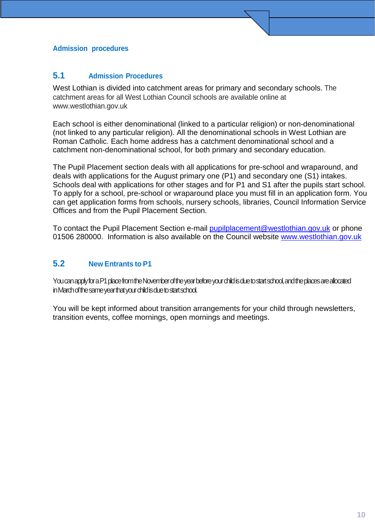### **Admission procedures**

### <span id="page-11-0"></span>**5.1 Admission Procedures**

West Lothian is divided into catchment areas for primary and secondary schools. The catchment areas for all West Lothian Council schools are available online at www.westlothian.gov.uk

Each school is either denominational (linked to a particular religion) or non-denominational (not linked to any particular religion). All the denominational schools in West Lothian are Roman Catholic. Each home address has a catchment denominational school and a catchment non-denominational school, for both primary and secondary education.

The Pupil Placement section deals with all applications for pre-school and wraparound, and deals with applications for the August primary one (P1) and secondary one (S1) intakes. Schools deal with applications for other stages and for P1 and S1 after the pupils start school. To apply for a school, pre-school or wraparound place you must fill in an application form. You can get application forms from schools, nursery schools, libraries, Council Information Service Offices and from the Pupil Placement Section.

To contact the Pupil Placement Section e-mail [pupilplacement@westlothian.gov.uk](mailto:pupilplacement@westlothian.gov.uk) or phone 01506 280000. Information is also available on the Council website [www.westlothian.gov.uk](http://www.westlothian.gov.uk/)

## <span id="page-11-1"></span>**5.2 New Entrants to P1**

You can apply for a P1 place from the November of the year before your child is due to start school, and the places are allocated in March of the same year that your child is due to start school.

You will be kept informed about transition arrangements for your child through newsletters, transition events, coffee mornings, open mornings and meetings.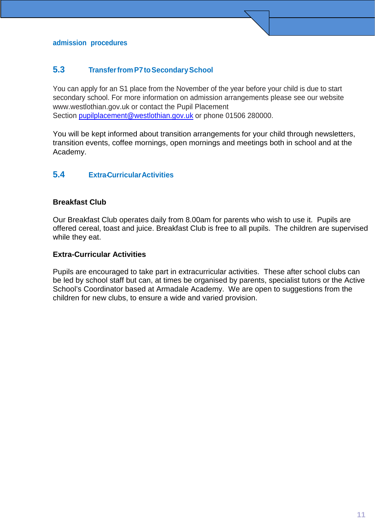### <span id="page-12-0"></span>**5.3 TransferfromP7toSecondarySchool**

You can apply for an S1 place from the November of the year before your child is due to start secondary school. For more information on admission arrangements please see our website www.westlothian.gov.uk or contact the Pupil Placement Section [pupilplacement@westlothian.gov.uk](mailto:pupilplacement@westlothian.gov.uk) or phone 01506 280000.

You will be kept informed about transition arrangements for your child through newsletters, transition events, coffee mornings, open mornings and meetings both in school and at the Academy.

### **5.4 Extra-CurricularActivities**

### **Breakfast Club**

Our Breakfast Club operates daily from 8.00am for parents who wish to use it. Pupils are offered cereal, toast and juice. Breakfast Club is free to all pupils. The children are supervised while they eat.

#### **Extra-Curricular Activities**

Pupils are encouraged to take part in extracurricular activities. These after school clubs can be led by school staff but can, at times be organised by parents, specialist tutors or the Active School's Coordinator based at Armadale Academy. We are open to suggestions from the children for new clubs, to ensure a wide and varied provision.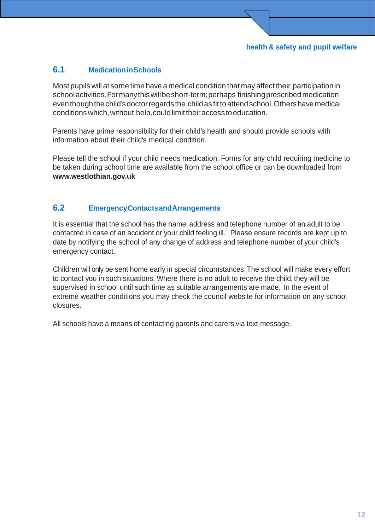## <span id="page-13-0"></span>**6.1 MedicationinSchools**

Most pupils will at some time have a medical condition that may affect their participationin schoolactivities. For many this will be short-term; perhaps finishing prescribed medication even though the child's doctor regards the child as fit to attend school. Others have medical conditionswhich,without help,couldlimittheiraccesstoeducation.

Parents have prime responsibility for their child's health and should provide schools with information about their child's medical condition.

Please tell the school if your child needs medication. Forms for any child requiring medicine to be taken during school time are available from the school office or can be downloaded from **[www.westlothian.gov.uk](http://www.westlothian.gov.uk/)**

## <span id="page-13-1"></span>**6.2 EmergencyContactsandArrangements**

It is essential that the school has the name, address and telephone number of an adult to be contacted in case of an accident or your child feeling ill. Please ensure records are kept up to date by notifying the school of any change of address and telephone number of your child's emergency contact.

Children will only be sent home early in special circumstances.The school will make every effort to contact you in such situations. Where there is no adult to receive the child, they will be supervised in school until such time as suitable arrangements are made. In the event of extreme weather conditions you may check the council website for information on any school closures.

All schools have a means of contacting parents and carers via text message.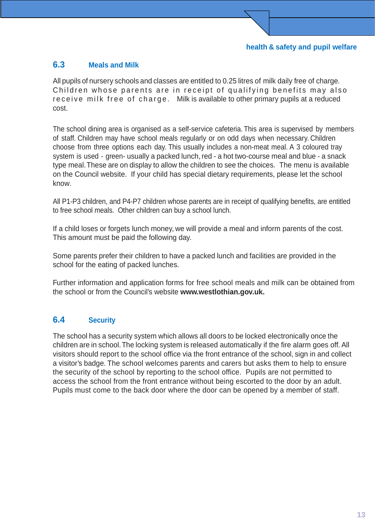## <span id="page-14-0"></span>**6.3 Meals and Milk**

All pupils of nursery schools and classes are entitled to 0.25 litres of milk daily free of charge. Children whose parents are in receipt of qualifying benefits may also receive milk free of charge. Milk is available to other primary pupils at a reduced cost.

The school dining area is organised as a self-service cafeteria. This area is supervised by members of staff. Children may have school meals regularly or on odd days when necessary. Children choose from three options each day. This usually includes a non-meat meal. A 3 coloured tray system is used - green- usually a packed lunch, red - a hot two-course meal and blue - a snack type meal.These are on display to allow the children to see the choices. The menu is available on the Council website. If your child has special dietary requirements, please let the school know.

All P1-P3 children, and P4-P7 children whose parents are in receipt of qualifying benefits, are entitled to free school meals. Other children can buy a school lunch.

If a child loses or forgets lunch money, we will provide a meal and inform parents of the cost. This amount must be paid the following day.

Some parents prefer their children to have a packed lunch and facilities are provided in the school for the eating of packed lunches.

Further information and application forms for free school meals and milk can be obtained from the school or from the Council's website **[www.westlothian.gov.uk.](http://www.westlothian.gov.uk/)**

## <span id="page-14-1"></span>**6.4 Security**

The school has a security system which allows all doors to be locked electronically once the children are in school.The locking system is released automatically if the fire alarm goes off. All visitors should report to the school office via the front entrance of the school, sign in and collect a visitor's badge. The school welcomes parents and carers but asks them to help to ensure the security of the school by reporting to the school office. Pupils are not permitted to access the school from the front entrance without being escorted to the door by an adult. Pupils must come to the back door where the door can be opened by a member of staff.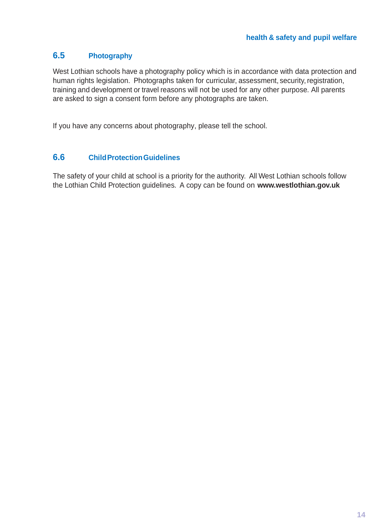## <span id="page-15-0"></span>**6.5 Photography**

West Lothian schools have a photography policy which is in accordance with data protection and human rights legislation. Photographs taken for curricular, assessment, security, registration, training and development or travel reasons will not be used for any other purpose. All parents are asked to sign a consent form before any photographs are taken.

If you have any concerns about photography, please tell the school.

### <span id="page-15-1"></span>**6.6 ChildProtectionGuidelines**

The safety of your child at school is a priority for the authority. All West Lothian schools follow the Lothian Child Protection guidelines. A copy can be found on **[www.westlothian.gov.uk](http://www.westlothian.gov.uk/)**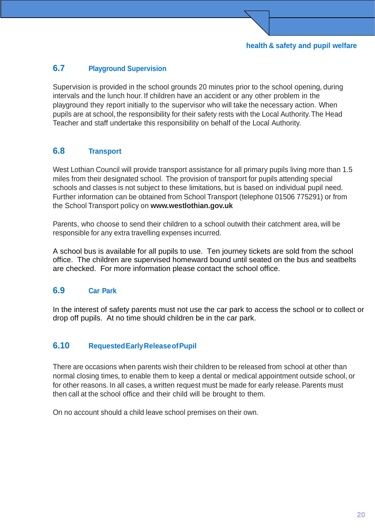## <span id="page-16-0"></span>**6.7 Playground Supervision**

Supervision is provided in the school grounds 20 minutes prior to the school opening, during intervals and the lunch hour. If children have an accident or any other problem in the playground they report initially to the supervisor who will take the necessary action. When pupils are at school, the responsibility for their safety rests with the Local Authority.The Head Teacher and staff undertake this responsibility on behalf of the Local Authority.

### <span id="page-16-1"></span>**6.8 Transport**

West Lothian Council will provide transport assistance for all primary pupils living more than 1.5 miles from their designated school. The provision of transport for pupils attending special schools and classes is not subject to these limitations, but is based on individual pupil need. Further information can be obtained from School Transport (telephone 01506 775291) or from the School Transport policy on **[www.westlothian.gov.uk](http://www.westlothian.gov.uk/)**

Parents, who choose to send their children to a school outwith their catchment area, will be responsible for any extra travelling expenses incurred.

A school bus is available for all pupils to use. Ten journey tickets are sold from the school office. The children are supervised homeward bound until seated on the bus and seatbelts are checked. For more information please contact the school office.

### <span id="page-16-2"></span>**6.9 Car Park**

In the interest of safety parents must not use the car park to access the school or to collect or drop off pupils. At no time should children be in the car park.

### <span id="page-16-3"></span>**6.10 RequestedEarlyReleaseofPupil**

There are occasions when parents wish their children to be released from school at other than normal closing times, to enable them to keep a dental or medical appointment outside school, or for other reasons. In all cases, a written request must be made for early release. Parents must then call at the school office and their child will be brought to them.

On no account should a child leave school premises on their own.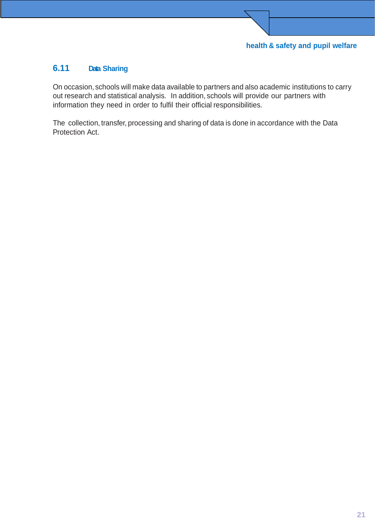## <span id="page-17-0"></span>**6.11 Data Sharing**

On occasion, schools will make data available to partners and also academic institutions to carry out research and statistical analysis. In addition, schools will provide our partners with information they need in order to fulfil their official responsibilities.

 $\overline{\phantom{0}}$ 

The collection, transfer, processing and sharing of data is done in accordance with the Data Protection Act.